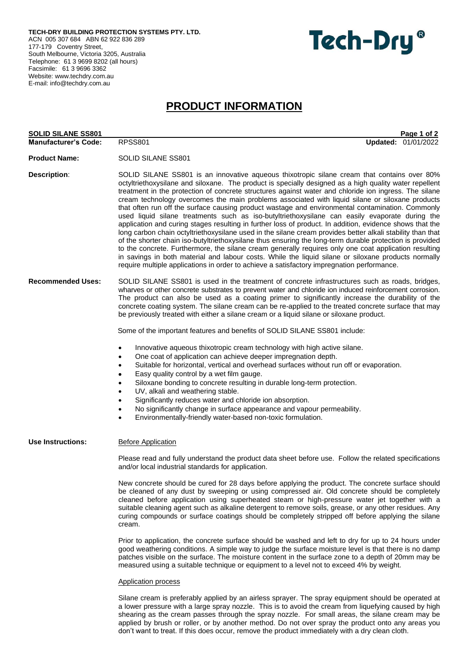**TECH-DRY BUILDING PROTECTION SYSTEMS PTY. LTD.** ACN 005 307 684 ABN 62 922 836 289 177-179 Coventry Street, South Melbourne, Victoria 3205, Australia Telephone: 61 3 9699 8202 (all hours) Facsimile: 61 3 9696 3362 Website[: www.techdry.com.au](http://www.techdry.com.au/) E-mail: [info@techdry.com.au](mailto:info@techdry.com.au)



# **PRODUCT INFORMATION**

| <b>SOLID SILANE SS801</b>   | Page 1 of 2                                                                                                                                                                                                                                                                                                                                                                                                                                                                                                                                                                                                                                                                                                                                                                                                                                                                                                                                                                                                                                                                                                                                                                                                                                                                 |  |
|-----------------------------|-----------------------------------------------------------------------------------------------------------------------------------------------------------------------------------------------------------------------------------------------------------------------------------------------------------------------------------------------------------------------------------------------------------------------------------------------------------------------------------------------------------------------------------------------------------------------------------------------------------------------------------------------------------------------------------------------------------------------------------------------------------------------------------------------------------------------------------------------------------------------------------------------------------------------------------------------------------------------------------------------------------------------------------------------------------------------------------------------------------------------------------------------------------------------------------------------------------------------------------------------------------------------------|--|
| <b>Manufacturer's Code:</b> | Updated: 01/01/2022<br><b>RPSS801</b>                                                                                                                                                                                                                                                                                                                                                                                                                                                                                                                                                                                                                                                                                                                                                                                                                                                                                                                                                                                                                                                                                                                                                                                                                                       |  |
| <b>Product Name:</b>        | SOLID SILANE SS801                                                                                                                                                                                                                                                                                                                                                                                                                                                                                                                                                                                                                                                                                                                                                                                                                                                                                                                                                                                                                                                                                                                                                                                                                                                          |  |
| <b>Description:</b>         | SOLID SILANE SS801 is an innovative aqueous thixotropic silane cream that contains over 80%<br>octyltriethoxysilane and siloxane. The product is specially designed as a high quality water repellent<br>treatment in the protection of concrete structures against water and chloride ion ingress. The silane<br>cream technology overcomes the main problems associated with liquid silane or siloxane products<br>that often run off the surface causing product wastage and environmental contamination. Commonly<br>used liquid silane treatments such as iso-butyltriethoxysilane can easily evaporate during the<br>application and curing stages resulting in further loss of product. In addition, evidence shows that the<br>long carbon chain octyltriethoxysilane used in the silane cream provides better alkali stability than that<br>of the shorter chain iso-butyltriethoxysilane thus ensuring the long-term durable protection is provided<br>to the concrete. Furthermore, the silane cream generally requires only one coat application resulting<br>in savings in both material and labour costs. While the liquid silane or siloxane products normally<br>require multiple applications in order to achieve a satisfactory impregnation performance. |  |
| <b>Recommended Uses:</b>    | SOLID SILANE SS801 is used in the treatment of concrete infrastructures such as roads, bridges,<br>wharves or other concrete substrates to prevent water and chloride ion induced reinforcement corrosion.<br>The product can also be used as a coating primer to significantly increase the durability of the<br>concrete coating system. The silane cream can be re-applied to the treated concrete surface that may<br>be previously treated with either a silane cream or a liquid silane or siloxane product.<br>Some of the important features and benefits of SOLID SILANE SS801 include:<br>Innovative aqueous thixotropic cream technology with high active silane.<br>One coat of application can achieve deeper impregnation depth.<br>٠<br>Suitable for horizontal, vertical and overhead surfaces without run off or evaporation.<br>Easy quality control by a wet film gauge.<br>Siloxane bonding to concrete resulting in durable long-term protection.<br>UV, alkali and weathering stable.<br>Significantly reduces water and chloride ion absorption.<br>No significantly change in surface appearance and vapour permeability.<br>$\bullet$<br>Environmentally-friendly water-based non-toxic formulation.                                               |  |
| <b>Use Instructions:</b>    | <b>Before Application</b><br>Please read and fully understand the product data sheet before use. Follow the related specifications<br>and/or local industrial standards for application.<br>New concrete should be cured for 28 days before applying the product. The concrete surface should<br>be cleaned of any dust by sweeping or using compressed air. Old concrete should be completely<br>cleaned before application using superheated steam or high-pressure water jet together with a<br>suitable cleaning agent such as alkaline detergent to remove soils, grease, or any other residues. Any<br>curing compounds or surface coatings should be completely stripped off before applying the silane<br>cream.<br>Prior to application, the concrete surface should be washed and left to dry for up to 24 hours under<br>good weathering conditions. A simple way to judge the surface moisture level is that there is no damp<br>patches visible on the surface. The moisture content in the surface zone to a depth of 20mm may be<br>measured using a suitable technique or equipment to a level not to exceed 4% by weight.<br><b>Application process</b>                                                                                                    |  |
|                             | Silane cream is preferably applied by an airless sprayer. The spray equipment should be operated at                                                                                                                                                                                                                                                                                                                                                                                                                                                                                                                                                                                                                                                                                                                                                                                                                                                                                                                                                                                                                                                                                                                                                                         |  |

a lower pressure with a large spray nozzle. This is to avoid the cream from liquefying caused by high shearing as the cream passes through the spray nozzle. For small areas, the silane cream may be applied by brush or roller, or by another method. Do not over spray the product onto any areas you don't want to treat. If this does occur, remove the product immediately with a dry clean cloth.